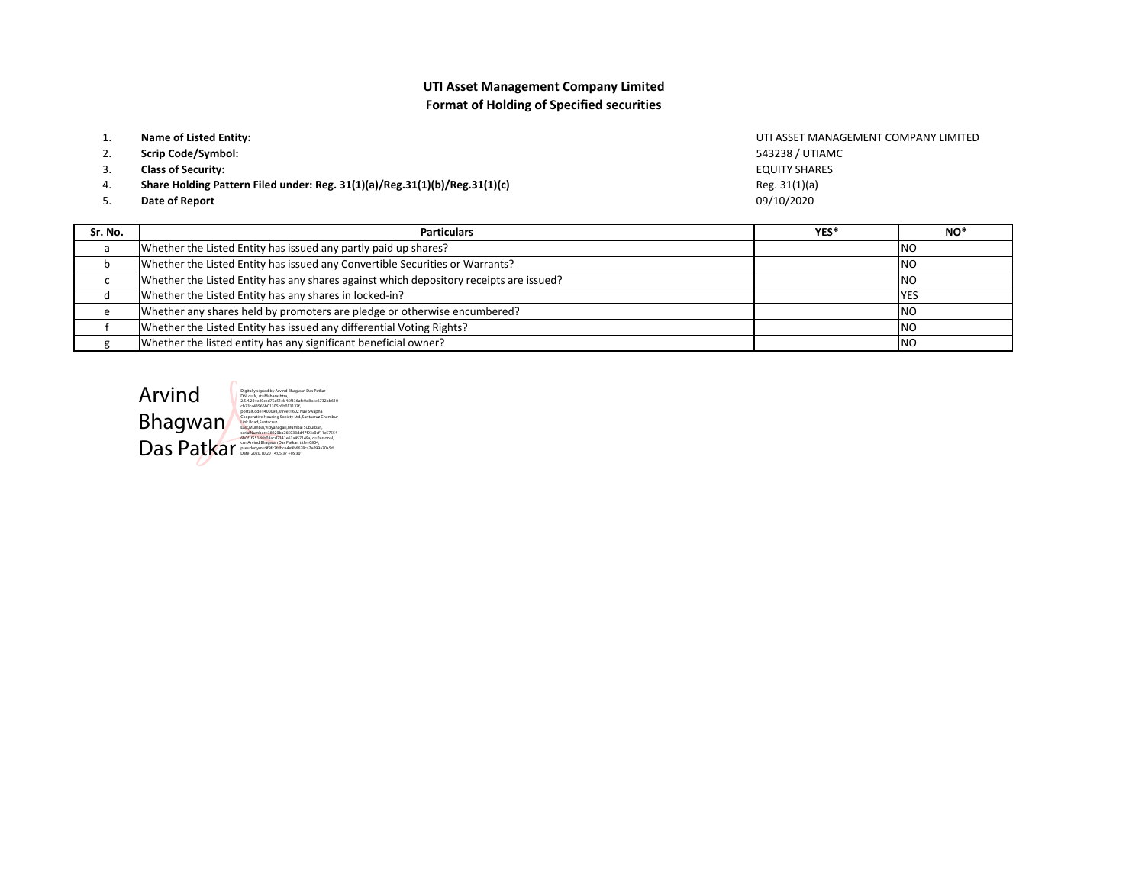## UTI Asset Management Company LimitedFormat of Holding of Specified securities

| Sr. No.  | <b>Particulars</b>                                                         |              |
|----------|----------------------------------------------------------------------------|--------------|
| 5.       | Date of Report                                                             | 09/10/       |
|          |                                                                            |              |
| 4.       | Share Holding Pattern Filed under: Reg. 31(1)(a)/Reg.31(1)(b)/Reg.31(1)(c) | Reg. 3:      |
| 3.       | <b>Class of Security:</b>                                                  | <b>EQUIT</b> |
| 2.       | <b>Scrip Code/Symbol:</b>                                                  | 54323        |
|          |                                                                            |              |
| <b>.</b> | Name of Listed Entity:                                                     | UTI AS       |

s and the contract of the contract of the contract of the contract of the contract of the contract of the contract of the contract of the contract of the contract of the contract of the contract of the contract of the cont **YES\*** NO\* aWhether the Listed Entity has issued any partly paid up shares? **NO** bWhether the Listed Entity has issued any Convertible Securities or Warrants? N<sub>O</sub> c Whether the Listed Entity has any shares against which depository receipts are issued?<u>2</u> **YES** dWhether the Listed Entity has any shares in locked-in?<br>
Whether any shares held by promoters are pledge or otherwise encumbered?<br>
NO eWhether any shares held by promoters are pledge or otherwise encumbered? **NO** f Whether the Listed Entity has issued any differential Voting Rights?<u>Product</u> and the contract of the contract of the contract of the contract of the contract of the contract of the contract of the contract of the contract of the contract of the contract of the contract of the contract of N<sub>O</sub> gWhether the listed entity has any significant beneficial owner?

Arvind Das Patkar

Bhagwan 1307<br>Bhagwan Code: 20098, street=602 Nav Swapna<br>Link Road, Santacruz Chembur<br>Santakruz Chembur Suburban, Santacruz Chembur<br>Santakruz Chembur Suburban,Mumbai Suburban, Digitally signed by Arvind Bhagwan Das Patkar DN: c=IN, st=Mah 2.5.4.20=c30ccd75a51eb45f336afe0d8bce6732bb610serialNumber=38920ba765033dd47f93c0cf11c57554<br>6b0f1f551dcb03acd2341e61a457149a, o=Personal,<br>cn=Arvind Bhagwan Das Patkar, title=0804,<br>pseudonym=9f9fc7fdbce4e9b6678ca7e099a70a5d<br>Date: 2020.10.20 14:05:37 +05'30'

**TY SHARES** 09/10/2020 88 / UTIAMC  $1(1)(a)$ SSET MANAGEMENT COMPANY LIMITED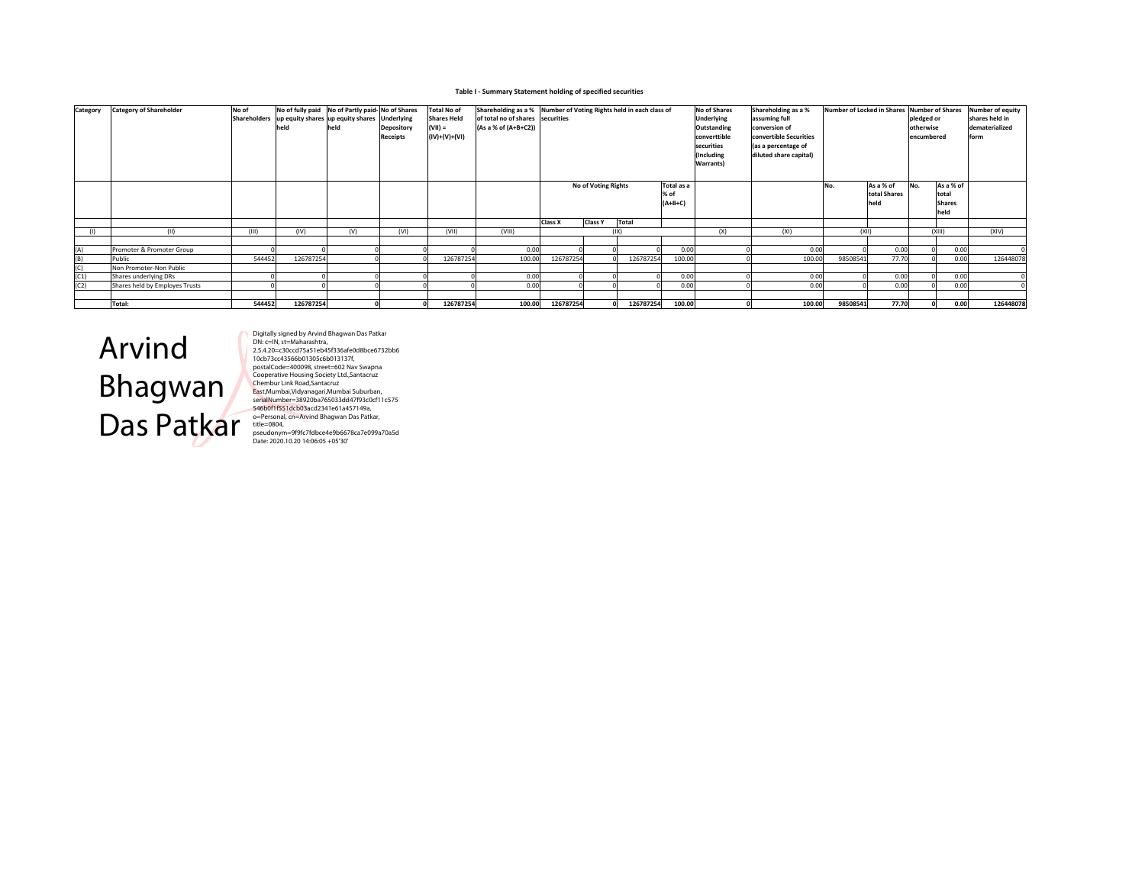#### Table I - Summary Statement holding of specified securities

| Category | <b>Category of Shareholder</b> | No of  | held      | No of fully paid No of Partly paid-No of Shares<br>Shareholders up equity shares up equity shares Underlying<br>held | Depository<br>Receipts | <b>Total No of</b><br><b>Shares Held</b><br>$(VII) =$<br>$(IV)+(V)+(VI)$ | of total no of shares securities<br>(As a % of (A+B+C2)) | Shareholding as a % Number of Voting Rights held in each class of |                            |               | <b>No of Shares</b><br>Underlying<br>Outstanding<br>converttible<br>securities<br>(Including<br><b>Warrants)</b> | Shareholding as a %<br>assuming full<br>conversion of<br>convertible Securities<br>(as a percentage of<br>diluted share capital) | Number of Locked in Shares Number of Shares | pledged or<br>otherwise<br>encumbered |                                   | <b>Number of equity</b><br>shares held in<br>dematerialized<br>form |                                             |           |
|----------|--------------------------------|--------|-----------|----------------------------------------------------------------------------------------------------------------------|------------------------|--------------------------------------------------------------------------|----------------------------------------------------------|-------------------------------------------------------------------|----------------------------|---------------|------------------------------------------------------------------------------------------------------------------|----------------------------------------------------------------------------------------------------------------------------------|---------------------------------------------|---------------------------------------|-----------------------------------|---------------------------------------------------------------------|---------------------------------------------|-----------|
|          |                                |        |           |                                                                                                                      |                        |                                                                          |                                                          |                                                                   | <b>No of Voting Rights</b> |               | Total as a<br>% of<br>$(A+B+C)$                                                                                  |                                                                                                                                  |                                             | No.                                   | As a % of<br>total Shares<br>held | No.                                                                 | As a % of<br>total<br><b>Shares</b><br>held |           |
| (1)      | (11)                           | (III)  | (IV)      | (V)                                                                                                                  | (VI)                   | (VII)                                                                    | (VIII)                                                   | Class X                                                           | <b>Class Y</b>             | Total<br>(IX) |                                                                                                                  | (X)                                                                                                                              | (XI)                                        |                                       | (X  )                             |                                                                     | (X  )                                       | (XIV)     |
|          |                                |        |           |                                                                                                                      |                        |                                                                          |                                                          |                                                                   |                            |               |                                                                                                                  |                                                                                                                                  |                                             |                                       |                                   |                                                                     |                                             |           |
| (A)      | Promoter & Promoter Group      |        |           |                                                                                                                      |                        |                                                                          | 0.00                                                     |                                                                   |                            |               | 0.00                                                                                                             |                                                                                                                                  | 0.00                                        |                                       | 0.00                              |                                                                     | 0.00                                        |           |
| (B)      | Public                         | 544452 | 126787254 |                                                                                                                      |                        | 126787254                                                                | 100.00                                                   | 126787254                                                         |                            | 126787254     | 100.00                                                                                                           |                                                                                                                                  | 100.00                                      | 98508541                              | 77.70                             |                                                                     | 0.00                                        | 12644807  |
| (C)      | Non Promoter-Non Public        |        |           |                                                                                                                      |                        |                                                                          |                                                          |                                                                   |                            |               |                                                                                                                  |                                                                                                                                  |                                             |                                       |                                   |                                                                     |                                             |           |
| (C1)     | Shares underlying DRs          |        |           |                                                                                                                      |                        |                                                                          | 0.00                                                     |                                                                   |                            |               | 0.00                                                                                                             |                                                                                                                                  | 0.00                                        |                                       | 0.00                              |                                                                     | 0.00                                        |           |
| (C2)     | Shares held by Employes Trusts |        |           |                                                                                                                      |                        |                                                                          | 0.00                                                     |                                                                   |                            |               | 0.00                                                                                                             |                                                                                                                                  | 0.00                                        |                                       | 0.00                              |                                                                     | 0.00                                        |           |
|          |                                |        |           |                                                                                                                      |                        |                                                                          |                                                          |                                                                   |                            |               |                                                                                                                  |                                                                                                                                  |                                             |                                       |                                   |                                                                     |                                             |           |
|          | Total:                         | 544452 | 126787254 |                                                                                                                      |                        | 126787254                                                                | 100.00                                                   | 126787254                                                         |                            | 126787254     | 100.00                                                                                                           |                                                                                                                                  | 100.00                                      | 98508541                              | 77.70                             |                                                                     | 0.00                                        | 126448078 |

# Arvind Bhagwan Das Patkar

Digitally signed by Arvind Bhagwan Das Patkar<br>Digitally signed by Arvind Bhagwan Das Patkar<br>2.5.4.20=c30ccd75a51eb45f336afe0d8bce6732bb6<br>10cb73ccd3566b01305c6b013137f,<br>Cooperative Housing Society Ltd.,Santacruz<br>Cooperative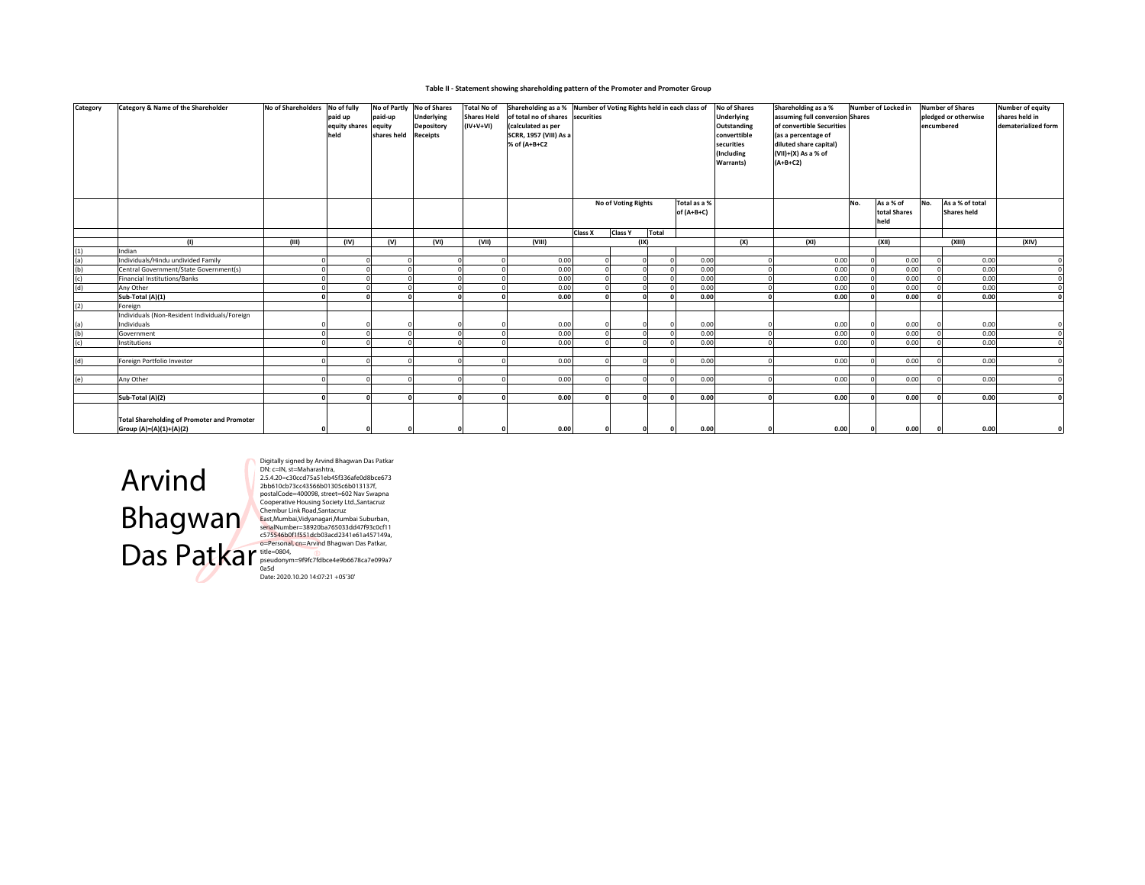#### Table II - Statement showing shareholding pattern of the Promoter and Promoter Group

| Category | Category & Name of the Shareholder                 | No of Shareholders | No of fully<br>paid up<br>equity shares equity<br>held | paid-up<br>shares held | No of Partly No of Shares<br>Underlying<br>Depository<br><b>Receipts</b> | <b>Total No of</b><br><b>Shares Held</b><br>$(IV+V+VI)$ | Shareholding as a % Number of Voting Rights held in each class of<br>of total no of shares securities<br>(calculated as per<br>SCRR, 1957 (VIII) As a<br>% of (A+B+C2 |         |                |                     |                              | No of Shares<br><b>Underlying</b><br>Outstanding<br>converttible<br>securities<br>(Including<br>Warrants) | Shareholding as a %<br>assuming full conversion Shares<br>of convertible Securities<br>(as a percentage of<br>diluted share capital)<br>(VII)+(X) As a % of<br>$(A+B+C2)$ |     | Number of Locked in               | encumbered | <b>Number of Shares</b><br>pledged or otherwise | Number of equity<br>shares held in<br>dematerialized form |
|----------|----------------------------------------------------|--------------------|--------------------------------------------------------|------------------------|--------------------------------------------------------------------------|---------------------------------------------------------|-----------------------------------------------------------------------------------------------------------------------------------------------------------------------|---------|----------------|---------------------|------------------------------|-----------------------------------------------------------------------------------------------------------|---------------------------------------------------------------------------------------------------------------------------------------------------------------------------|-----|-----------------------------------|------------|-------------------------------------------------|-----------------------------------------------------------|
|          |                                                    |                    |                                                        |                        |                                                                          |                                                         |                                                                                                                                                                       |         |                | No of Voting Rights | Total as a %<br>of $(A+B+C)$ |                                                                                                           |                                                                                                                                                                           | No. | As a % of<br>total Shares<br>held | No.        | As a % of total<br>Shares held                  |                                                           |
|          |                                                    |                    |                                                        |                        |                                                                          |                                                         |                                                                                                                                                                       | Class X | <b>Class Y</b> | Total               |                              |                                                                                                           |                                                                                                                                                                           |     |                                   |            |                                                 |                                                           |
|          | (1)                                                | (III)              | (IV)                                                   | (V)                    | (VI)                                                                     | (VII)                                                   | (VIII)                                                                                                                                                                |         |                | (IX)                |                              | (X)                                                                                                       | (XI)                                                                                                                                                                      |     | (XII)                             |            | (XIII)                                          | (XIV)                                                     |
| (1)      | Indian                                             |                    |                                                        |                        |                                                                          |                                                         |                                                                                                                                                                       |         |                |                     |                              |                                                                                                           |                                                                                                                                                                           |     |                                   |            |                                                 |                                                           |
| (a)      | Individuals/Hindu undivided Family                 |                    |                                                        |                        |                                                                          |                                                         | 0.00                                                                                                                                                                  |         |                | $\Omega$            | 0.00                         |                                                                                                           | 0.00                                                                                                                                                                      |     | 0.00                              |            | 0.00                                            |                                                           |
| (b)      | Central Government/State Government(s)             |                    |                                                        |                        |                                                                          |                                                         | 0.00                                                                                                                                                                  |         |                | $\Omega$            | 0.00                         |                                                                                                           | 0.00                                                                                                                                                                      |     | 0.00                              |            | 0.00                                            |                                                           |
| (c)      | Financial Institutions/Banks                       |                    |                                                        |                        |                                                                          |                                                         | 0.00                                                                                                                                                                  |         |                | $\Omega$            | 0.00                         |                                                                                                           | 0.00                                                                                                                                                                      |     | 0.00                              |            | 0.00                                            |                                                           |
| (d)      | Any Other                                          |                    |                                                        |                        |                                                                          |                                                         | 0.00                                                                                                                                                                  |         |                | $\Omega$            | 0.00                         | $\Omega$                                                                                                  | 0.00                                                                                                                                                                      |     | 0.00                              |            | 0.00                                            |                                                           |
|          | Sub-Total (A)(1)                                   |                    |                                                        |                        |                                                                          |                                                         | 0.00                                                                                                                                                                  |         |                | $\mathbf{a}$        | 0.00                         |                                                                                                           | 0.00                                                                                                                                                                      |     | 0.00                              |            | 0.00                                            |                                                           |
| (2)      | Foreign                                            |                    |                                                        |                        |                                                                          |                                                         |                                                                                                                                                                       |         |                |                     |                              |                                                                                                           |                                                                                                                                                                           |     |                                   |            |                                                 |                                                           |
|          | Individuals (Non-Resident Individuals/Foreign      |                    |                                                        |                        |                                                                          |                                                         |                                                                                                                                                                       |         |                |                     |                              |                                                                                                           |                                                                                                                                                                           |     |                                   |            |                                                 |                                                           |
| (a)      | Individuals                                        |                    |                                                        |                        |                                                                          |                                                         | 0.00                                                                                                                                                                  |         |                |                     | 0.00                         |                                                                                                           | 0.00                                                                                                                                                                      |     | 0.00                              |            | 0.00                                            |                                                           |
| (b)      | Government                                         |                    |                                                        |                        |                                                                          |                                                         | 0.00                                                                                                                                                                  |         |                | $\Omega$            | 0.00                         | $\Omega$                                                                                                  | 0.00                                                                                                                                                                      |     | 0.00                              |            | 0.00                                            |                                                           |
| (c)      | Institutions                                       |                    |                                                        |                        |                                                                          |                                                         | 0.00                                                                                                                                                                  |         |                | $\Omega$            | 0.00                         |                                                                                                           | 0.00                                                                                                                                                                      |     | 0.00                              |            | 0.00                                            |                                                           |
|          |                                                    |                    |                                                        |                        |                                                                          |                                                         |                                                                                                                                                                       |         |                |                     |                              |                                                                                                           |                                                                                                                                                                           |     |                                   |            |                                                 |                                                           |
| (d)      | Foreign Portfolio Investor                         |                    |                                                        |                        | $\Omega$                                                                 |                                                         | 0.00<br>$\Omega$                                                                                                                                                      |         |                | $\Omega$            | 0.00                         |                                                                                                           | 0.00                                                                                                                                                                      |     | 0.00                              |            | 0.00                                            |                                                           |
|          |                                                    |                    |                                                        |                        |                                                                          |                                                         |                                                                                                                                                                       |         |                |                     |                              |                                                                                                           |                                                                                                                                                                           |     |                                   |            |                                                 |                                                           |
| (e)      | Any Other                                          |                    |                                                        |                        | $\sim$                                                                   |                                                         | 0.00                                                                                                                                                                  |         |                | $\Omega$            | 0.00                         |                                                                                                           | 0.00                                                                                                                                                                      |     | 0.00                              |            | 0.00                                            |                                                           |
|          |                                                    |                    |                                                        |                        |                                                                          |                                                         |                                                                                                                                                                       |         |                |                     |                              |                                                                                                           |                                                                                                                                                                           |     |                                   |            |                                                 |                                                           |
|          | Sub-Total (A)(2)                                   |                    |                                                        |                        | $\Omega$                                                                 |                                                         | 0.00<br>n                                                                                                                                                             |         |                | $\mathbf{a}$        | 0.00                         |                                                                                                           | 0.00                                                                                                                                                                      |     | 0.00                              |            | 0.00                                            |                                                           |
|          | <b>Total Shareholding of Promoter and Promoter</b> |                    |                                                        |                        |                                                                          |                                                         |                                                                                                                                                                       |         |                |                     |                              |                                                                                                           |                                                                                                                                                                           |     |                                   |            |                                                 |                                                           |
|          | Group (A)=(A)(1)+(A)(2)                            |                    |                                                        |                        |                                                                          |                                                         | 0.00                                                                                                                                                                  |         |                | $\Omega$            | 0.00                         |                                                                                                           | 0.00                                                                                                                                                                      |     | 0.00                              |            | 0.00                                            |                                                           |



Digitally signed by Arvind Bhagwan Das Patkar<br>Digitally signed by Arvind Bhagwan Das Patkar<br>2.5.4.20–30xcd75a51eb455136afe0d80bce673<br>2.bb610cb73cc43566b01305c6b013137f,<br>Cooperative Housing Society Ltd, Santacruz<br>Cooperativ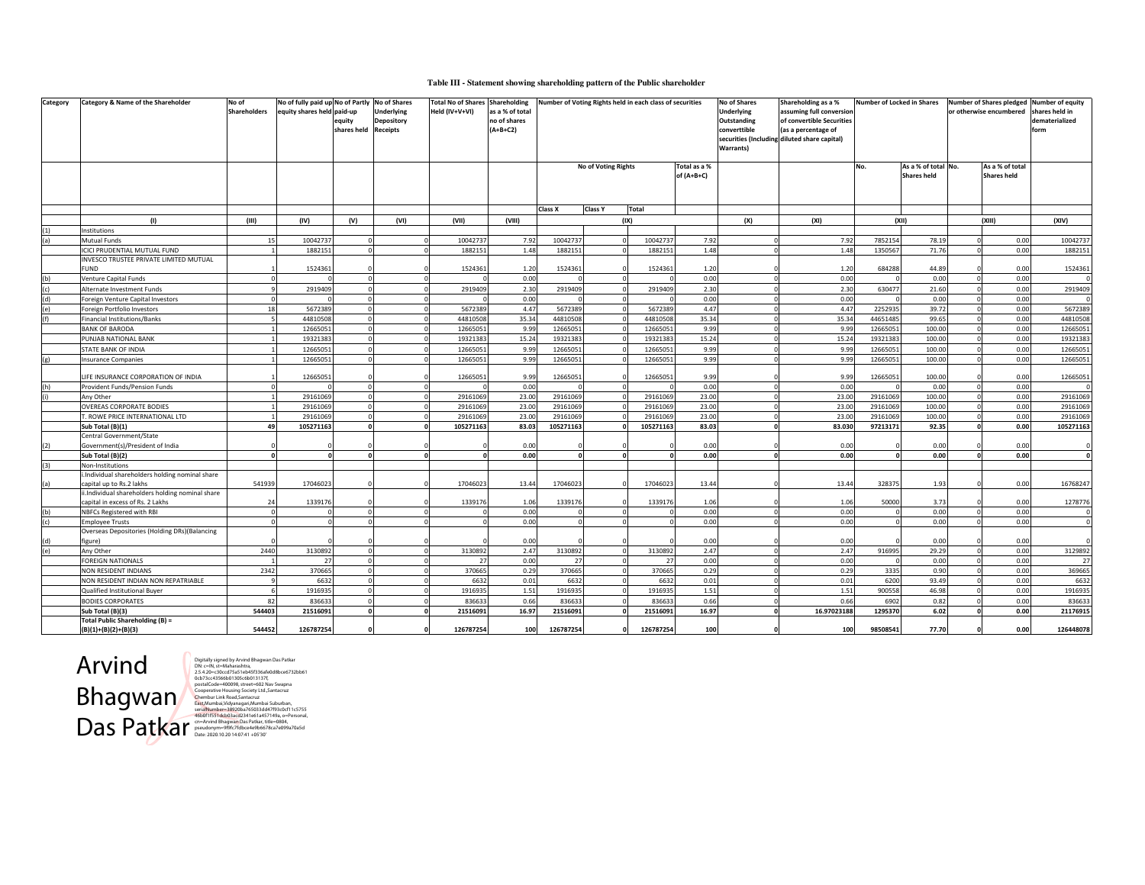#### **Table III - Statement showing shareholding pattern of the Public shareholder**

| Category   | Category & Name of the Shareholder                                                   | No of<br><b>Shareholders</b> | No of fully paid up No of Partly No of Shares<br>equity shares held paid-up | equity<br>shares held Receipts | <b>Underlying</b><br><b>Depository</b> | <b>Total No of Shares Shareholding</b><br>Held (IV+V+VI) | as a % of total<br>no of shares<br>$(A+B+C2)$ | Number of Voting Rights held in each class of securities |                            |              |              | No of Shares<br><b>Underlying</b><br>Outstanding<br>converttible<br>securities (Including diluted share capital)<br>Warrants) | Shareholding as a %<br>assuming full conversion<br>of convertible Securities<br>(as a percentage of | <b>Number of Locked in Shares</b> |                     | or otherwise encumbered |                    | Number of Shares pledged Number of equity<br>hares held in<br>dematerialized<br>form |
|------------|--------------------------------------------------------------------------------------|------------------------------|-----------------------------------------------------------------------------|--------------------------------|----------------------------------------|----------------------------------------------------------|-----------------------------------------------|----------------------------------------------------------|----------------------------|--------------|--------------|-------------------------------------------------------------------------------------------------------------------------------|-----------------------------------------------------------------------------------------------------|-----------------------------------|---------------------|-------------------------|--------------------|--------------------------------------------------------------------------------------|
|            |                                                                                      |                              |                                                                             |                                |                                        |                                                          |                                               |                                                          | <b>No of Voting Rights</b> |              | Total as a % |                                                                                                                               |                                                                                                     | No.                               | As a % of total No. |                         | As a % of total    |                                                                                      |
|            |                                                                                      |                              |                                                                             |                                |                                        |                                                          |                                               |                                                          |                            |              | of $(A+B+C)$ |                                                                                                                               |                                                                                                     |                                   | <b>Shares held</b>  |                         | <b>Shares held</b> |                                                                                      |
|            |                                                                                      |                              |                                                                             |                                |                                        |                                                          |                                               |                                                          |                            |              |              |                                                                                                                               |                                                                                                     |                                   |                     |                         |                    |                                                                                      |
|            |                                                                                      |                              |                                                                             |                                |                                        |                                                          |                                               |                                                          |                            |              |              |                                                                                                                               |                                                                                                     |                                   |                     |                         |                    |                                                                                      |
|            |                                                                                      |                              |                                                                             |                                |                                        |                                                          |                                               | Class X                                                  | Class Y                    | <b>Total</b> |              |                                                                                                                               |                                                                                                     |                                   |                     |                         |                    |                                                                                      |
|            | (1)<br>Institutions                                                                  | (III)                        | (IV)                                                                        | (V)                            | (VI)                                   | (VII)                                                    | (VIII)                                        |                                                          | (IX)                       |              |              | (X)                                                                                                                           | (XI)                                                                                                |                                   | (XII)               | (XIII)                  |                    | (XIV)                                                                                |
| (1)<br>(a) | Mutual Funds                                                                         | 15                           | 10042737                                                                    |                                | $\Omega$                               | 10042737                                                 | 7.92                                          | 10042737                                                 |                            | 10042737     | 7.92         |                                                                                                                               | 7.92                                                                                                | 7852154                           | 78.19               |                         | 0.00               | 10042737                                                                             |
|            | ICICI PRUDENTIAL MUTUAL FUND                                                         |                              | 1882151                                                                     |                                |                                        | 1882151                                                  | 1.48                                          | 1882151                                                  |                            | 1882151      | 1.48         |                                                                                                                               | 1.48                                                                                                | 1350567                           | 71.76               |                         | 0.00               | 1882151                                                                              |
|            | INVESCO TRUSTEE PRIVATE LIMITED MUTUAL                                               |                              |                                                                             |                                |                                        |                                                          |                                               |                                                          |                            |              |              |                                                                                                                               |                                                                                                     |                                   |                     |                         |                    |                                                                                      |
|            | <b>FUND</b>                                                                          |                              | 1524361                                                                     |                                |                                        | 1524361                                                  | 1.20                                          | 1524361                                                  |                            | 1524361      | 1.20         |                                                                                                                               | 1.20                                                                                                | 684288                            | 44.89               |                         | 0.00               | 1524361                                                                              |
| (b)        | Venture Capital Funds                                                                |                              |                                                                             |                                |                                        |                                                          | 0.00                                          |                                                          |                            |              | 0.00         |                                                                                                                               | 0.00                                                                                                |                                   | 0.00                |                         | 0.00               |                                                                                      |
| (c)        | Alternate Investment Funds                                                           |                              | 2919409                                                                     |                                |                                        | 2919409                                                  | 2.30                                          | 2919409                                                  |                            | 2919409      | 2.30         |                                                                                                                               | 2.30                                                                                                | 630477                            | 21.60               |                         | 0.00               | 2919409                                                                              |
| (d)        | Foreign Venture Capital Investors                                                    |                              |                                                                             | $\Omega$                       | $\Omega$                               |                                                          | 0.00                                          |                                                          |                            |              | 0.00         | $\Omega$                                                                                                                      | 0.00                                                                                                |                                   | 0.00                |                         | 0.00               |                                                                                      |
| (e)        | Foreign Portfolio Investors                                                          | 18                           | 5672389                                                                     | $\Omega$                       | $\Omega$                               | 5672389                                                  | 4.47                                          | 5672389                                                  |                            | 5672389      | 4.47         | $\Omega$                                                                                                                      | 4.47                                                                                                | 2252935                           | 39.72               | $\Omega$                | 0.00               | 5672389                                                                              |
| (f)        | <b>Financial Institutions/Banks</b>                                                  |                              | 44810508                                                                    | $\mathsf{C}$                   | $\Omega$                               | 44810508                                                 | 35.34                                         | 44810508                                                 |                            | 44810508     | 35.34        |                                                                                                                               | 35.34                                                                                               | 44651485                          | 99.65               |                         | 0.00               | 44810508                                                                             |
|            | <b>BANK OF BARODA</b>                                                                |                              | 12665051                                                                    |                                |                                        | 12665051                                                 | 9.99                                          | 12665051                                                 |                            | 12665051     | 9.99         |                                                                                                                               | 9.99                                                                                                | 1266505                           | 100.00              |                         | 0.00               | 12665051                                                                             |
|            | PUNJAB NATIONAL BANK                                                                 |                              | 19321383                                                                    |                                |                                        | 19321383                                                 | 15.24                                         | 19321383                                                 |                            | 19321383     | 15.24        |                                                                                                                               | 15.24                                                                                               | 19321383                          | 100.00              |                         | 0.00               | 19321383                                                                             |
|            | STATE BANK OF INDIA                                                                  |                              | 12665051                                                                    | $\Omega$                       | $\Omega$                               | 12665051                                                 | 9.99                                          | 12665051                                                 |                            | 12665051     | 9.99         | $\Omega$                                                                                                                      | 9.99                                                                                                | 1266505                           | 100.00              |                         | 0.00               | 12665051                                                                             |
| (e)        | <b>Insurance Companies</b>                                                           |                              | 12665051                                                                    |                                |                                        | 12665051                                                 | 9.99                                          | 12665051                                                 |                            | 12665051     | 9.99         |                                                                                                                               | 9.99                                                                                                | 1266505                           | 100.00              |                         | 0.00               | 12665051                                                                             |
|            | LIFE INSURANCE CORPORATION OF INDIA                                                  |                              | 12665051                                                                    |                                |                                        | 12665051                                                 | 9.99                                          | 12665051                                                 |                            | 12665051     | 9.99         |                                                                                                                               | 9.99                                                                                                | 1266505                           | 100.00              |                         | 0.00               | 12665051                                                                             |
| (h)        | Provident Funds/Pension Funds                                                        |                              |                                                                             |                                | $\Omega$                               |                                                          | 0.00                                          |                                                          |                            |              | 0.00         |                                                                                                                               | 0.00                                                                                                |                                   | 0.00                |                         | 0.00               |                                                                                      |
|            | Any Other                                                                            |                              | 29161069                                                                    |                                | $\Omega$                               | 29161069                                                 | 23.00                                         | 29161069                                                 |                            | 29161069     | 23.00        |                                                                                                                               | 23.00                                                                                               | 29161069                          | 100.00              |                         | 0.00               | 29161069                                                                             |
|            | <b>OVEREAS CORPORATE BODIES</b>                                                      |                              | 29161069                                                                    |                                |                                        | 29161069                                                 | 23.00                                         | 29161069                                                 |                            | 29161069     | 23.00        |                                                                                                                               | 23.00                                                                                               | 2916106                           | 100.00              |                         | 0.00               | 29161069                                                                             |
|            | T. ROWE PRICE INTERNATIONAL LTD                                                      |                              | 29161069                                                                    |                                |                                        | 29161069                                                 | 23.00                                         | 29161069                                                 |                            | 29161069     | 23.00        |                                                                                                                               | 23.00                                                                                               | 29161069                          | 100.00              |                         | 0.00               | 29161069                                                                             |
|            | Sub Total (B)(1)                                                                     | 49                           | 105271163                                                                   |                                | $\Omega$                               | 105271163                                                | 83.03                                         | 105271163                                                |                            | 105271163    | 83.03        |                                                                                                                               | 83.030                                                                                              | 97213171                          | 92.35               |                         | 0.00               | 105271163                                                                            |
|            | Central Government/State                                                             |                              |                                                                             |                                |                                        |                                                          |                                               |                                                          |                            |              |              |                                                                                                                               |                                                                                                     |                                   |                     |                         |                    |                                                                                      |
| (2)        | Government(s)/President of India                                                     |                              |                                                                             |                                |                                        |                                                          | 0.00                                          |                                                          |                            |              | 0.00         |                                                                                                                               | 0.00                                                                                                |                                   | 0.00                |                         | 0.00               |                                                                                      |
|            | Sub Total (B)(2)                                                                     | $\Omega$                     | n                                                                           |                                | $\Omega$                               |                                                          | 0.00                                          | <sub>0</sub>                                             |                            |              | 0.00         |                                                                                                                               | 0.00                                                                                                |                                   | 0.00                |                         | 0.00               | $\Omega$                                                                             |
| (3)        | Non-Institutions                                                                     |                              |                                                                             |                                |                                        |                                                          |                                               |                                                          |                            |              |              |                                                                                                                               |                                                                                                     |                                   |                     |                         |                    |                                                                                      |
|            | Individual shareholders holding nominal share                                        |                              |                                                                             |                                |                                        |                                                          |                                               |                                                          |                            |              |              |                                                                                                                               |                                                                                                     |                                   |                     |                         |                    |                                                                                      |
| (a)        | capital up to Rs.2 lakhs                                                             | 541939                       | 17046023                                                                    |                                |                                        | 17046023                                                 | 13.44                                         | 17046023                                                 |                            | 17046023     | 13.44        |                                                                                                                               | 13.44                                                                                               | 328375                            | 1.93                |                         | 0.00               | 16768247                                                                             |
|            | ii.Individual shareholders holding nominal share<br>capital in excess of Rs. 2 Lakhs | 24                           | 1339176                                                                     |                                |                                        | 1339176                                                  | 1.06                                          | 1339176                                                  |                            | 1339176      | 1.06         |                                                                                                                               | 1.06                                                                                                | 50000                             | 3.73                |                         | 0.00               | 1278776                                                                              |
| (b)        | NBFCs Registered with RBI                                                            | $\Omega$                     |                                                                             | $\Omega$                       | $\Omega$                               |                                                          | 0.00                                          | $\Omega$                                                 |                            |              | 0.00         |                                                                                                                               | 0.00                                                                                                |                                   | 0.00                |                         | 0.00               |                                                                                      |
| (c)        | <b>Employee Trusts</b>                                                               |                              |                                                                             |                                | $\Omega$                               |                                                          | 0.00                                          | $\Omega$                                                 |                            |              | 0.00         |                                                                                                                               | 0.00                                                                                                |                                   | 0.00                |                         | 0.00               | $\Omega$                                                                             |
|            | Overseas Depositories (Holding DRs)(Balancing                                        |                              |                                                                             |                                |                                        |                                                          |                                               |                                                          |                            |              |              |                                                                                                                               |                                                                                                     |                                   |                     |                         |                    |                                                                                      |
| (d)        | figure)                                                                              |                              |                                                                             |                                |                                        |                                                          | 0.00                                          |                                                          |                            |              | 0.00         |                                                                                                                               | 0.00                                                                                                |                                   | 0.00                |                         | 0.00               |                                                                                      |
| (e)        | Any Other                                                                            | 2440                         | 3130892                                                                     |                                | $\Omega$                               | 3130892                                                  | 2.47                                          | 3130892                                                  |                            | 3130892      | 2.47         |                                                                                                                               | 2.47                                                                                                | 916995                            | 29.29               |                         | 0.00               | 3129892                                                                              |
|            | <b>FOREIGN NATIONALS</b>                                                             |                              | 27                                                                          |                                |                                        | 27                                                       | 0.00                                          | 27                                                       |                            | 27           | 0.00         |                                                                                                                               | 0.00                                                                                                |                                   | 0.00                |                         | 0.00               | 27                                                                                   |
|            | NON RESIDENT INDIANS                                                                 | 2342                         | 370665                                                                      |                                |                                        | 370665                                                   | 0.29                                          | 370665                                                   |                            | 370665       | 0.29         |                                                                                                                               | 0.29                                                                                                | 3335                              | 0.90                |                         | 0.00               | 369665                                                                               |
|            | NON RESIDENT INDIAN NON REPATRIABLE                                                  |                              | 6632                                                                        |                                |                                        | 6632                                                     | 0.01                                          | 6632                                                     |                            | 6632         | 0.01         |                                                                                                                               | 0.01                                                                                                | 6200                              | 93.49               |                         | 0.00               | 6632                                                                                 |
|            | Qualified Institutional Buyer                                                        |                              | 1916935                                                                     | $\Omega$                       | $\Omega$                               | 1916935                                                  | 1.51                                          | 1916935                                                  |                            | 1916935      | 1.51         | $\Omega$                                                                                                                      | 1.51                                                                                                | 900558                            | 46.98               |                         | 0.00               | 1916935                                                                              |
|            | <b>BODIES CORPORATES</b>                                                             | 82                           | 836633                                                                      | $\mathsf{C}$                   | $\Omega$                               | 836633                                                   | 0.66                                          | 836633                                                   |                            | 836633       | 0.66         |                                                                                                                               | 0.66                                                                                                | 6902                              | 0.82                |                         | 0.00               | 836633                                                                               |
|            | Sub Total (B)(3)                                                                     | 544403                       | 21516091                                                                    |                                |                                        | 21516091                                                 | 16.97                                         | 21516091                                                 |                            | 21516091     | 16.97        |                                                                                                                               | 16.97023188                                                                                         | 1295370                           | 6.02                |                         | 0.00               | 21176915                                                                             |
|            | Total Public Shareholding (B) =                                                      |                              |                                                                             |                                |                                        |                                                          |                                               |                                                          |                            |              |              |                                                                                                                               |                                                                                                     |                                   |                     |                         |                    |                                                                                      |
|            | $(B)(1)+(B)(2)+(B)(3)$                                                               | 544452                       | 126787254                                                                   |                                |                                        | 126787254                                                | 100                                           | 126787254                                                |                            | 126787254    | 100          |                                                                                                                               | 100                                                                                                 | 98508541                          | 77.70               |                         | 0.00               | 126448078                                                                            |

Arvind Bhagwan Das Patkar Digitally signed by Arvind Bhagwan Das Patkar<br>Dick Child, Samped by Arvind Bhagwan Das Patkar<br>CoL272=202cc1755316H931536H608bce6732bb61<br>CoL73cc43566b01305c6b013137f,<br>postaClode=400058, street=602 New Swappar<br>Cooperative Ho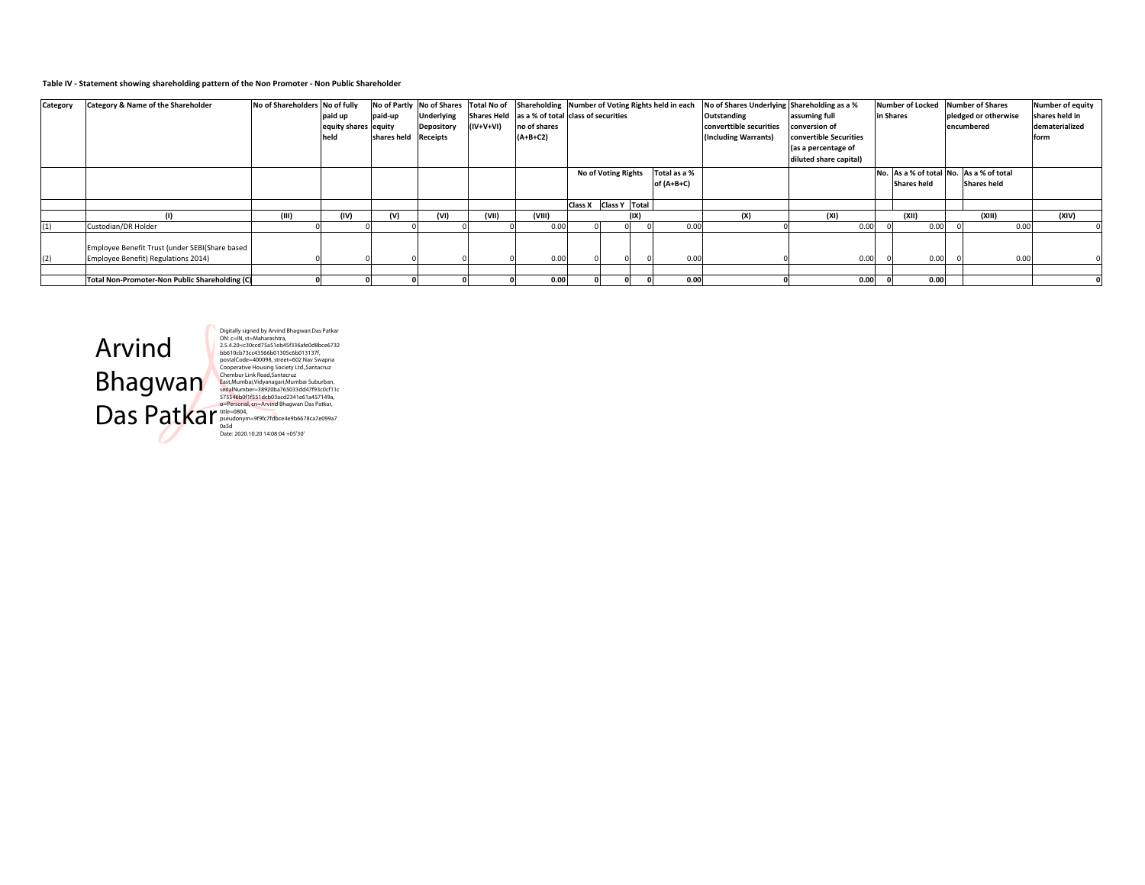### Table IV - Statement showing shareholding pattern of the Non Promoter - Non Public Shareholder

| Category | Category & Name of the Shareholder             | No of Shareholders No of fully |                      |                      | No of Partly No of Shares Total No of |           | Shareholding Number of Voting Rights held in each |                       |      |              | No of Shares Underlying Shareholding as a % |                        | Number of Locked   | <b>Number of Shares</b>                 | <b>Number of equity</b> |
|----------|------------------------------------------------|--------------------------------|----------------------|----------------------|---------------------------------------|-----------|---------------------------------------------------|-----------------------|------|--------------|---------------------------------------------|------------------------|--------------------|-----------------------------------------|-------------------------|
|          |                                                |                                | paid up              | paid-up              | Underlying                            |           | Shares Held as a % of total class of securities   |                       |      |              | Outstanding                                 | assuming full          | in Shares          | pledged or otherwise                    | shares held in          |
|          |                                                |                                | equity shares equity |                      | <b>Depository</b>                     | (IV+V+VI) | no of shares                                      |                       |      |              | converttible securities                     | conversion of          |                    | encumbered                              | dematerialized          |
|          |                                                |                                | held                 | shares held Receipts |                                       |           | $(A+B+C2)$                                        |                       |      |              | (Including Warrants)                        | convertible Securities |                    |                                         | form                    |
|          |                                                |                                |                      |                      |                                       |           |                                                   |                       |      |              |                                             | (as a percentage of    |                    |                                         |                         |
|          |                                                |                                |                      |                      |                                       |           |                                                   |                       |      |              |                                             | diluted share capital) |                    |                                         |                         |
|          |                                                |                                |                      |                      |                                       |           |                                                   | No of Voting Rights   |      | Total as a % |                                             |                        |                    | No. As a % of total No. As a % of total |                         |
|          |                                                |                                |                      |                      |                                       |           |                                                   |                       |      | of $(A+B+C)$ |                                             |                        | <b>Shares held</b> | <b>Shares held</b>                      |                         |
|          |                                                |                                |                      |                      |                                       |           |                                                   |                       |      |              |                                             |                        |                    |                                         |                         |
|          |                                                |                                |                      |                      |                                       |           |                                                   | Class X Class Y Total |      |              |                                             |                        |                    |                                         |                         |
|          |                                                | (III)                          | (IV)                 | (V)                  | (VI)                                  | (VII)     | (VIII)                                            |                       | (IX) |              | (X)                                         | (XI)                   | (XII)              | (XIII                                   | (XIV)                   |
| (1)      | Custodian/DR Holder                            |                                |                      |                      |                                       |           | 0.00                                              |                       |      | 0.00         |                                             | 0.00                   | 0.00               | 0.00                                    |                         |
|          |                                                |                                |                      |                      |                                       |           |                                                   |                       |      |              |                                             |                        |                    |                                         |                         |
|          | Employee Benefit Trust (under SEBI(Share based |                                |                      |                      |                                       |           |                                                   |                       |      |              |                                             |                        |                    |                                         |                         |
| (2)      | Employee Benefit) Regulations 2014)            |                                |                      |                      |                                       |           | 0.00                                              |                       |      | 0.00         |                                             | 0.00                   | 0.00               | 0.00                                    |                         |
|          |                                                |                                |                      |                      |                                       |           |                                                   |                       |      |              |                                             |                        |                    |                                         |                         |
|          | Total Non-Promoter-Non Public Shareholding (C) |                                |                      |                      |                                       |           | 0.00                                              |                       |      | 0.00         |                                             | 0.00                   | 0.00               |                                         |                         |



Digitally signed by Arvind Bhagwan Das Patkar<br>Digitally signed by Arvind Bhagwan Das Patkar<br>2.5.4.20-c-20ccd<sup>7</sup>3531 be45533546608bc66732<br>bb61 0cb73cc43566b01305c6b013137f,<br>cosperative Housing Society Lut, Santacuz<br>Croperat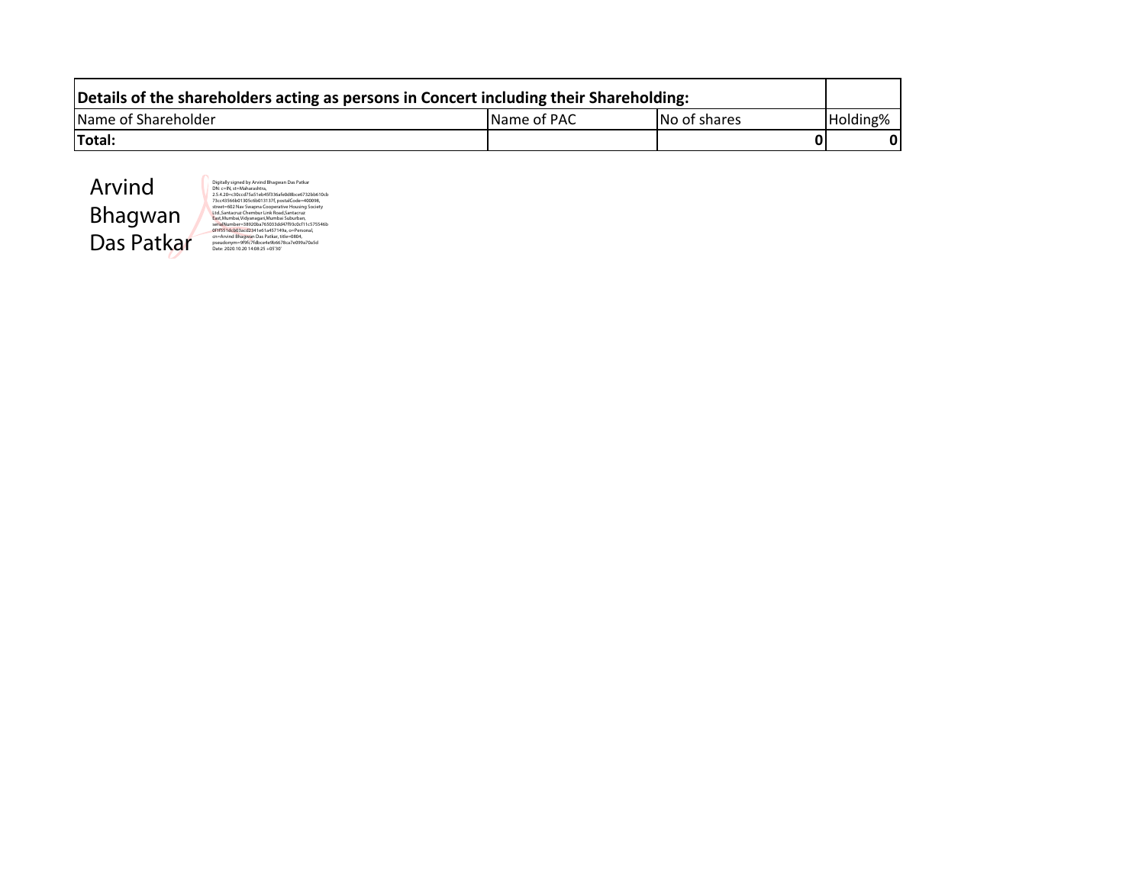| Details of the shareholders acting as persons in Concert including their Shareholding: |                     |              |          |  |  |  |  |  |  |  |  |  |  |
|----------------------------------------------------------------------------------------|---------------------|--------------|----------|--|--|--|--|--|--|--|--|--|--|
| Name of Shareholder                                                                    | <b>IName of PAC</b> | No of shares | Holding% |  |  |  |  |  |  |  |  |  |  |
| Total:                                                                                 |                     |              |          |  |  |  |  |  |  |  |  |  |  |



Digitally signed by Awring Blangwan Das Parkar<br>Digitally signed by Awring Blangwan Das Parkar<br>Discovery School Tassic electric System Control of the Constant<br>street-602 Nay Svagna Cooperative Housing Society<br>Reter-602 Nay